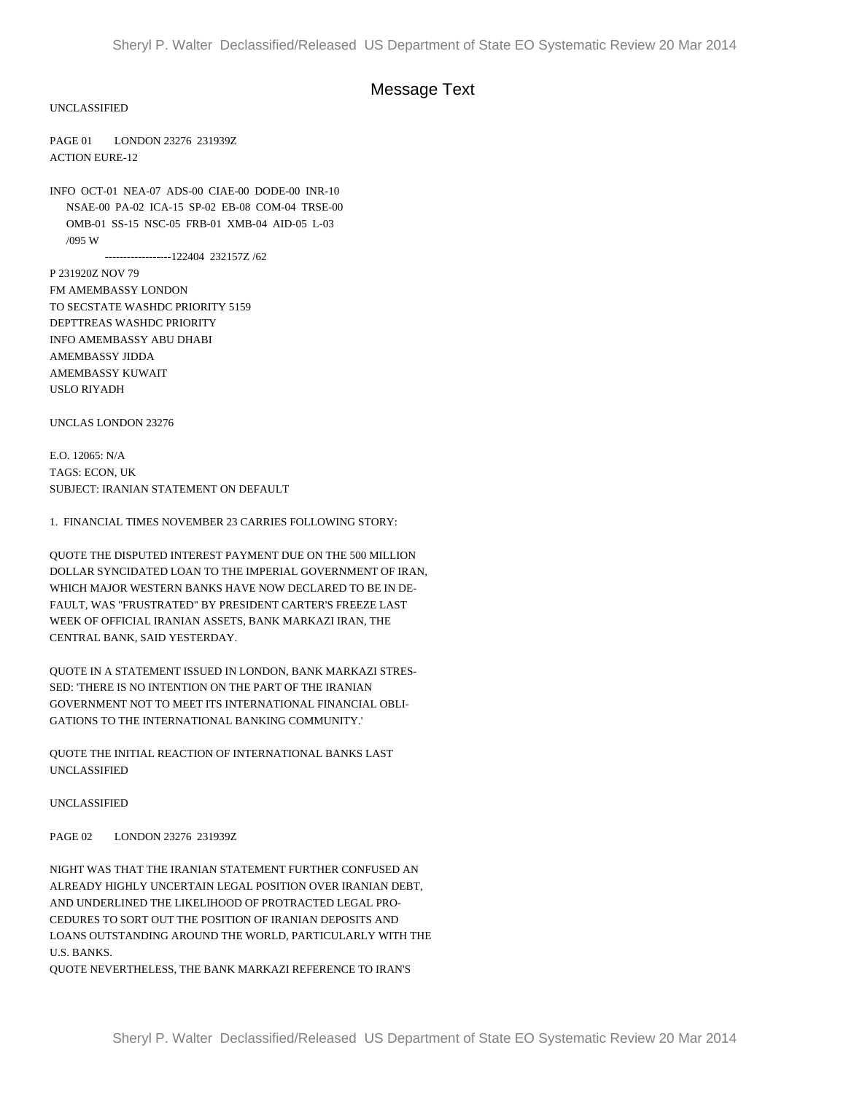## Message Text

UNCLASSIFIED

PAGE 01 LONDON 23276 231939Z ACTION EURE-12

INFO OCT-01 NEA-07 ADS-00 CIAE-00 DODE-00 INR-10 NSAE-00 PA-02 ICA-15 SP-02 EB-08 COM-04 TRSE-00 OMB-01 SS-15 NSC-05 FRB-01 XMB-04 AID-05 L-03 /095 W

------------------122404 232157Z /62

P 231920Z NOV 79 FM AMEMBASSY LONDON TO SECSTATE WASHDC PRIORITY 5159 DEPTTREAS WASHDC PRIORITY INFO AMEMBASSY ABU DHABI AMEMBASSY JIDDA AMEMBASSY KUWAIT USLO RIYADH

UNCLAS LONDON 23276

E.O. 12065: N/A TAGS: ECON, UK SUBJECT: IRANIAN STATEMENT ON DEFAULT

1. FINANCIAL TIMES NOVEMBER 23 CARRIES FOLLOWING STORY:

QUOTE THE DISPUTED INTEREST PAYMENT DUE ON THE 500 MILLION DOLLAR SYNCIDATED LOAN TO THE IMPERIAL GOVERNMENT OF IRAN, WHICH MAJOR WESTERN BANKS HAVE NOW DECLARED TO BE IN DE-FAULT, WAS "FRUSTRATED" BY PRESIDENT CARTER'S FREEZE LAST WEEK OF OFFICIAL IRANIAN ASSETS, BANK MARKAZI IRAN, THE CENTRAL BANK, SAID YESTERDAY.

QUOTE IN A STATEMENT ISSUED IN LONDON, BANK MARKAZI STRES-SED: 'THERE IS NO INTENTION ON THE PART OF THE IRANIAN GOVERNMENT NOT TO MEET ITS INTERNATIONAL FINANCIAL OBLI-GATIONS TO THE INTERNATIONAL BANKING COMMUNITY.'

QUOTE THE INITIAL REACTION OF INTERNATIONAL BANKS LAST UNCLASSIFIED

UNCLASSIFIED

PAGE 02 LONDON 23276 231939Z

NIGHT WAS THAT THE IRANIAN STATEMENT FURTHER CONFUSED AN ALREADY HIGHLY UNCERTAIN LEGAL POSITION OVER IRANIAN DEBT, AND UNDERLINED THE LIKELIHOOD OF PROTRACTED LEGAL PRO-CEDURES TO SORT OUT THE POSITION OF IRANIAN DEPOSITS AND LOANS OUTSTANDING AROUND THE WORLD, PARTICULARLY WITH THE U.S. BANKS.

QUOTE NEVERTHELESS, THE BANK MARKAZI REFERENCE TO IRAN'S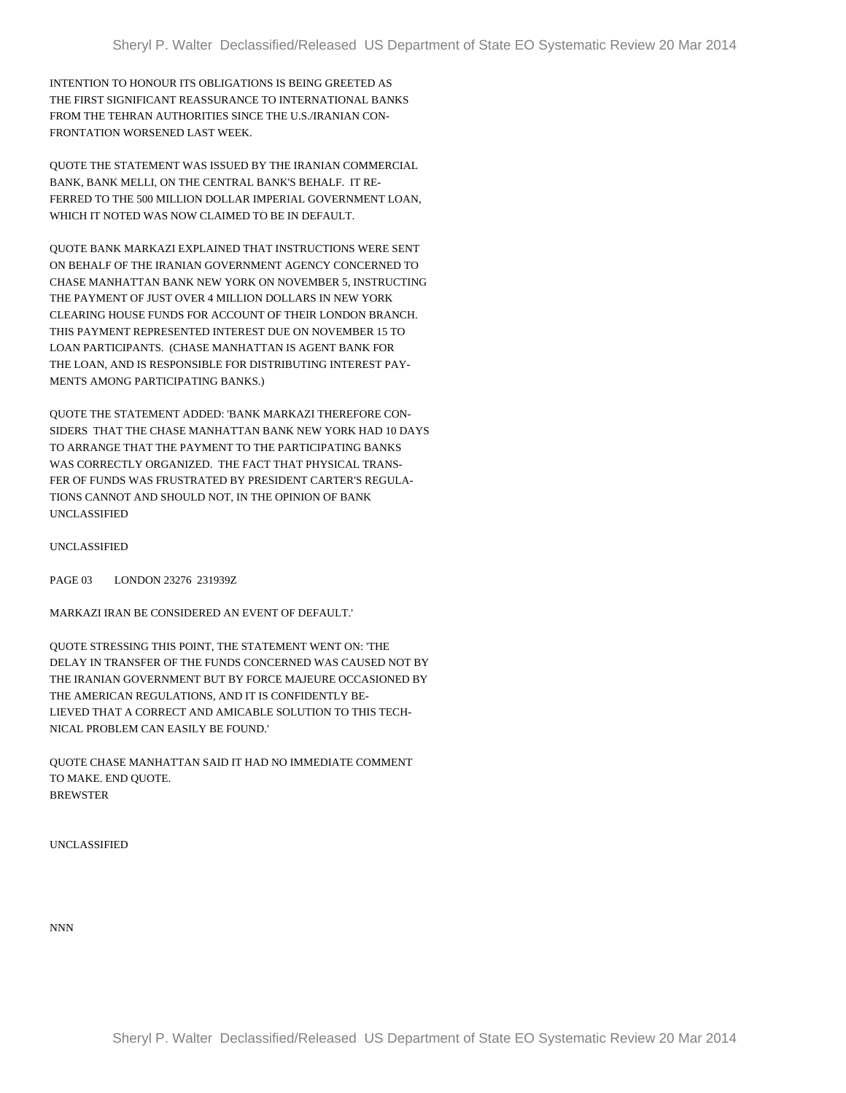INTENTION TO HONOUR ITS OBLIGATIONS IS BEING GREETED AS THE FIRST SIGNIFICANT REASSURANCE TO INTERNATIONAL BANKS FROM THE TEHRAN AUTHORITIES SINCE THE U.S./IRANIAN CON-FRONTATION WORSENED LAST WEEK.

QUOTE THE STATEMENT WAS ISSUED BY THE IRANIAN COMMERCIAL BANK, BANK MELLI, ON THE CENTRAL BANK'S BEHALF. IT RE-FERRED TO THE 500 MILLION DOLLAR IMPERIAL GOVERNMENT LOAN, WHICH IT NOTED WAS NOW CLAIMED TO BE IN DEFAULT.

QUOTE BANK MARKAZI EXPLAINED THAT INSTRUCTIONS WERE SENT ON BEHALF OF THE IRANIAN GOVERNMENT AGENCY CONCERNED TO CHASE MANHATTAN BANK NEW YORK ON NOVEMBER 5, INSTRUCTING THE PAYMENT OF JUST OVER 4 MILLION DOLLARS IN NEW YORK CLEARING HOUSE FUNDS FOR ACCOUNT OF THEIR LONDON BRANCH. THIS PAYMENT REPRESENTED INTEREST DUE ON NOVEMBER 15 TO LOAN PARTICIPANTS. (CHASE MANHATTAN IS AGENT BANK FOR THE LOAN, AND IS RESPONSIBLE FOR DISTRIBUTING INTEREST PAY-MENTS AMONG PARTICIPATING BANKS.)

QUOTE THE STATEMENT ADDED: 'BANK MARKAZI THEREFORE CON-SIDERS THAT THE CHASE MANHATTAN BANK NEW YORK HAD 10 DAYS TO ARRANGE THAT THE PAYMENT TO THE PARTICIPATING BANKS WAS CORRECTLY ORGANIZED. THE FACT THAT PHYSICAL TRANS-FER OF FUNDS WAS FRUSTRATED BY PRESIDENT CARTER'S REGULA-TIONS CANNOT AND SHOULD NOT, IN THE OPINION OF BANK UNCLASSIFIED

UNCLASSIFIED

PAGE 03 LONDON 23276 231939Z

MARKAZI IRAN BE CONSIDERED AN EVENT OF DEFAULT.'

QUOTE STRESSING THIS POINT, THE STATEMENT WENT ON: 'THE DELAY IN TRANSFER OF THE FUNDS CONCERNED WAS CAUSED NOT BY THE IRANIAN GOVERNMENT BUT BY FORCE MAJEURE OCCASIONED BY THE AMERICAN REGULATIONS, AND IT IS CONFIDENTLY BE-LIEVED THAT A CORRECT AND AMICABLE SOLUTION TO THIS TECH-NICAL PROBLEM CAN EASILY BE FOUND.'

QUOTE CHASE MANHATTAN SAID IT HAD NO IMMEDIATE COMMENT TO MAKE. END QUOTE. BREWSTER

UNCLASSIFIED

NNN